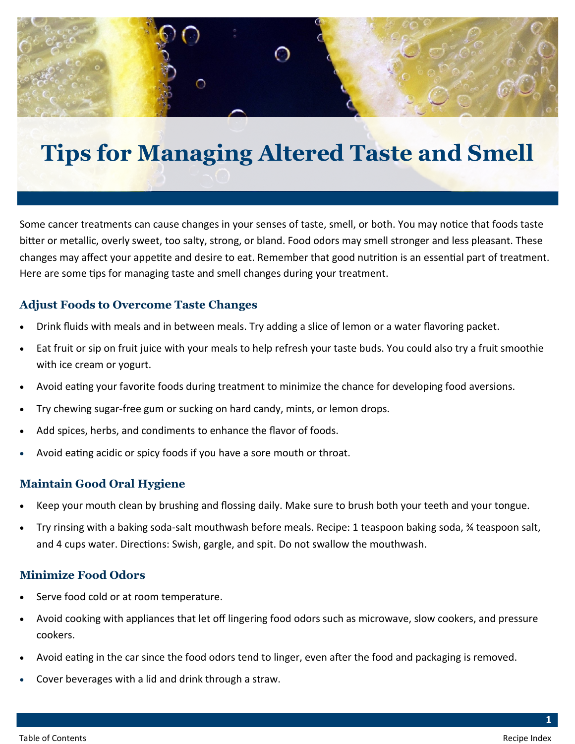

# **Tips for Managing Altered Taste and Smell**

Some cancer treatments can cause changes in your senses of taste, smell, or both. You may notice that foods taste bitter or metallic, overly sweet, too salty, strong, or bland. Food odors may smell stronger and less pleasant. These changes may affect your appetite and desire to eat. Remember that good nutrition is an essential part of treatment. Here are some tips for managing taste and smell changes during your treatment.

# **Adjust Foods to Overcome Taste Changes**

- Drink fluids with meals and in between meals. Try adding a slice of lemon or a water flavoring packet.
- Eat fruit or sip on fruit juice with your meals to help refresh your taste buds. You could also try a fruit smoothie with ice cream or yogurt.
- Avoid eating your favorite foods during treatment to minimize the chance for developing food aversions.
- Try chewing sugar-free gum or sucking on hard candy, mints, or lemon drops.
- Add spices, herbs, and condiments to enhance the flavor of foods.
- Avoid eating acidic or spicy foods if you have a sore mouth or throat.

# **Maintain Good Oral Hygiene**

- Keep your mouth clean by brushing and flossing daily. Make sure to brush both your teeth and your tongue.
- Try rinsing with a baking soda-salt mouthwash before meals. Recipe: 1 teaspoon baking soda, ¾ teaspoon salt, and 4 cups water. Directions: Swish, gargle, and spit. Do not swallow the mouthwash.

# **Minimize Food Odors**

- Serve food cold or at room temperature.
- Avoid cooking with appliances that let off lingering food odors such as microwave, slow cookers, and pressure cookers.
- Avoid eating in the car since the food odors tend to linger, even after the food and packaging is removed.
- Cover beverages with a lid and drink through a straw.